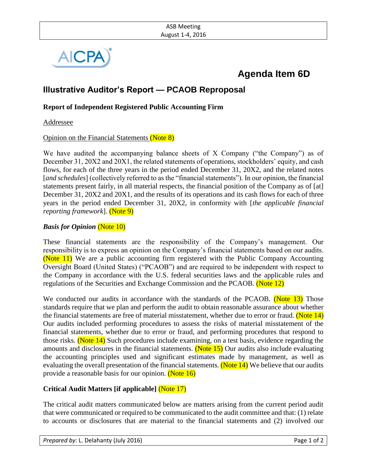

# **Agenda Item 6D**

# **Illustrative Auditor's Report — PCAOB Reproposal**

### **Report of Independent Registered Public Accounting Firm**

Addressee

#### Opinion on the Financial Statements (Note 8)

We have audited the accompanying balance sheets of X Company ("the Company") as of December 31, 20X2 and 20X1, the related statements of operations, stockholders' equity, and cash flows, for each of the three years in the period ended December 31, 20X2, and the related notes [*and schedules*] (collectively referred to as the "financial statements"). In our opinion, the financial statements present fairly, in all material respects, the financial position of the Company as of [at] December 31, 20X2 and 20X1, and the results of its operations and its cash flows for each of three years in the period ended December 31, 20X2, in conformity with [*the applicable financial reporting framework*]. (Note 9)

#### *Basis for Opinion* (Note 10)

These financial statements are the responsibility of the Company's management. Our responsibility is to express an opinion on the Company's financial statements based on our audits. (Note 11) We are a public accounting firm registered with the Public Company Accounting Oversight Board (United States) ("PCAOB") and are required to be independent with respect to the Company in accordance with the U.S. federal securities laws and the applicable rules and regulations of the Securities and Exchange Commission and the PCAOB. (Note 12)

We conducted our audits in accordance with the standards of the PCAOB. (Note 13) Those standards require that we plan and perform the audit to obtain reasonable assurance about whether the financial statements are free of material misstatement, whether due to error or fraud. (Note 14) Our audits included performing procedures to assess the risks of material misstatement of the financial statements, whether due to error or fraud, and performing procedures that respond to those risks. (Note 14) Such procedures include examining, on a test basis, evidence regarding the amounts and disclosures in the financial statements. (Note 15) Our audits also include evaluating the accounting principles used and significant estimates made by management, as well as evaluating the overall presentation of the financial statements. (Note  $14$ ) We believe that our audits provide a reasonable basis for our opinion. (Note 16)

## **Critical Audit Matters [if applicable]** (Note 17)

The critical audit matters communicated below are matters arising from the current period audit that were communicated or required to be communicated to the audit committee and that: (1) relate to accounts or disclosures that are material to the financial statements and (2) involved our